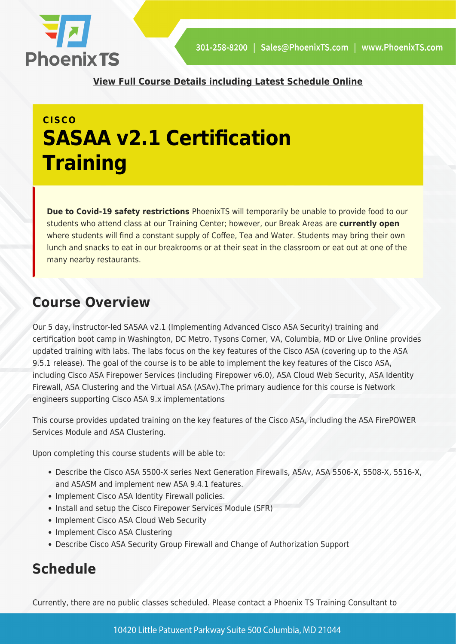

**[View Full Course Details including Latest Schedule Online](https://phoenixts.com/training-courses/implementing-advanced-cisco-asa-security-sasaa-v2-1/)**

## **CISCO SASAA v2.1 Certification Training**

**Due to Covid-19 safety restrictions** PhoenixTS will temporarily be unable to provide food to our students who attend class at our Training Center; however, our Break Areas are **currently open** where students will find a constant supply of Coffee, Tea and Water. Students may bring their own lunch and snacks to eat in our breakrooms or at their seat in the classroom or eat out at one of the many nearby restaurants.

### **Course Overview**

Our 5 day, instructor-led SASAA v2.1 (Implementing Advanced Cisco ASA Security) training and certification boot camp in Washington, DC Metro, Tysons Corner, VA, Columbia, MD or Live Online provides updated training with labs. The labs focus on the key features of the Cisco ASA (covering up to the ASA 9.5.1 release). The goal of the course is to be able to implement the key features of the Cisco ASA, including Cisco ASA Firepower Services (including Firepower v6.0), ASA Cloud Web Security, ASA Identity Firewall, ASA Clustering and the Virtual ASA (ASAv).The primary audience for this course is Network engineers supporting Cisco ASA 9.x implementations

This course provides updated training on the key features of the Cisco ASA, including the ASA FirePOWER Services Module and ASA Clustering.

Upon completing this course students will be able to:

- Describe the Cisco ASA 5500-X series Next Generation Firewalls, ASAv, ASA 5506-X, 5508-X, 5516-X, and ASASM and implement new ASA 9.4.1 features.
- Implement Cisco ASA Identity Firewall policies.
- Install and setup the Cisco Firepower Services Module (SFR)
- Implement Cisco ASA Cloud Web Security
- Implement Cisco ASA Clustering
- Describe Cisco ASA Security Group Firewall and Change of Authorization Support

### **Schedule**

Currently, there are no public classes scheduled. Please contact a Phoenix TS Training Consultant to

10420 Little Patuxent Parkway Suite 500 Columbia, MD 21044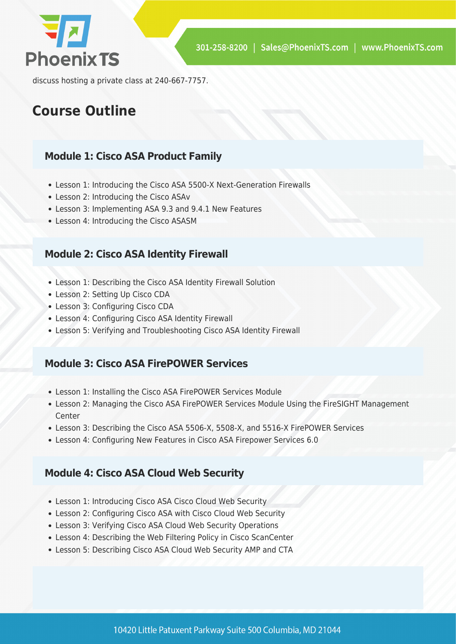

discuss hosting a private class at 240-667-7757.

### **Course Outline**

#### **Module 1: Cisco ASA Product Family**

- Lesson 1: Introducing the Cisco ASA 5500-X Next-Generation Firewalls
- Lesson 2: Introducing the Cisco ASAv
- Lesson 3: Implementing ASA 9.3 and 9.4.1 New Features
- Lesson 4: Introducing the Cisco ASASM

#### **Module 2: Cisco ASA Identity Firewall**

- Lesson 1: Describing the Cisco ASA Identity Firewall Solution
- Lesson 2: Setting Up Cisco CDA
- Lesson 3: Configuring Cisco CDA
- Lesson 4: Configuring Cisco ASA Identity Firewall
- Lesson 5: Verifying and Troubleshooting Cisco ASA Identity Firewall

#### **Module 3: Cisco ASA FirePOWER Services**

- Lesson 1: Installing the Cisco ASA FirePOWER Services Module
- Lesson 2: Managing the Cisco ASA FirePOWER Services Module Using the FireSIGHT Management Center
- Lesson 3: Describing the Cisco ASA 5506-X, 5508-X, and 5516-X FirePOWER Services
- Lesson 4: Configuring New Features in Cisco ASA Firepower Services 6.0

#### **Module 4: Cisco ASA Cloud Web Security**

- Lesson 1: Introducing Cisco ASA Cisco Cloud Web Security
- Lesson 2: Configuring Cisco ASA with Cisco Cloud Web Security
- Lesson 3: Verifying Cisco ASA Cloud Web Security Operations
- Lesson 4: Describing the Web Filtering Policy in Cisco ScanCenter
- Lesson 5: Describing Cisco ASA Cloud Web Security AMP and CTA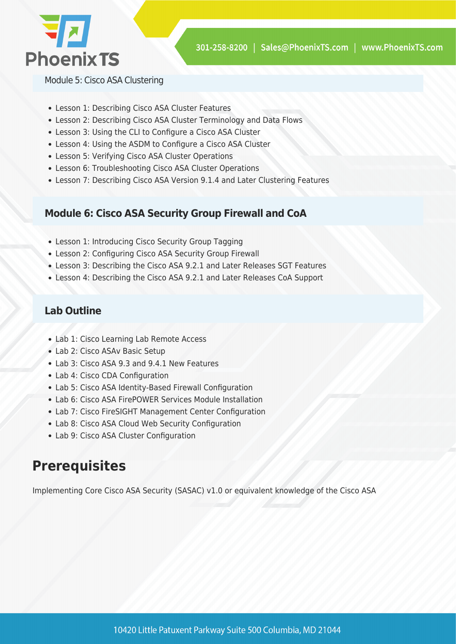

Module 5: Cisco ASA Clustering

- Lesson 1: Describing Cisco ASA Cluster Features
- Lesson 2: Describing Cisco ASA Cluster Terminology and Data Flows
- Lesson 3: Using the CLI to Configure a Cisco ASA Cluster
- Lesson 4: Using the ASDM to Configure a Cisco ASA Cluster
- Lesson 5: Verifying Cisco ASA Cluster Operations
- Lesson 6: Troubleshooting Cisco ASA Cluster Operations
- Lesson 7: Describing Cisco ASA Version 9.1.4 and Later Clustering Features

#### **Module 6: Cisco ASA Security Group Firewall and CoA**

- Lesson 1: Introducing Cisco Security Group Tagging
- Lesson 2: Configuring Cisco ASA Security Group Firewall
- Lesson 3: Describing the Cisco ASA 9.2.1 and Later Releases SGT Features
- Lesson 4: Describing the Cisco ASA 9.2.1 and Later Releases CoA Support

#### **Lab Outline**

- Lab 1: Cisco Learning Lab Remote Access
- Lab 2: Cisco ASAv Basic Setup
- Lab 3: Cisco ASA 9.3 and 9.4.1 New Features
- Lab 4: Cisco CDA Configuration
- Lab 5: Cisco ASA Identity-Based Firewall Configuration
- Lab 6: Cisco ASA FirePOWER Services Module Installation
- Lab 7: Cisco FireSIGHT Management Center Configuration
- Lab 8: Cisco ASA Cloud Web Security Configuration
- Lab 9: Cisco ASA Cluster Configuration

### **Prerequisites**

Implementing Core Cisco ASA Security (SASAC) v1.0 or equivalent knowledge of the Cisco ASA